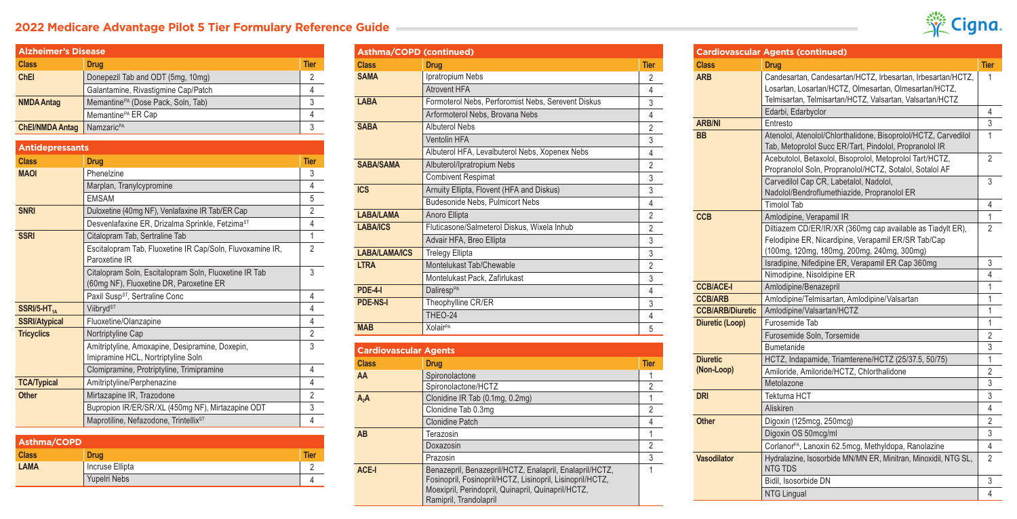## **2022 Medicare Advantage Pilot 5 Tier Formulary Reference Guide**



| Asthma/COPD         |                 |             |  |
|---------------------|-----------------|-------------|--|
| <b>Class</b>        | <b>Drug</b>     | <b>Tier</b> |  |
| <b>LAMA</b>         | Incruse Ellipta |             |  |
| <b>Yupelri Nebs</b> |                 |             |  |

| <b>Asthma/COPD (continued)</b> |                                                    |                |
|--------------------------------|----------------------------------------------------|----------------|
| <b>Class</b>                   | <b>Drug</b>                                        | <b>Tier</b>    |
| <b>SAMA</b>                    | Ipratropium Nebs                                   | $\overline{2}$ |
|                                | Atrovent HFA                                       | 4              |
| <b>LABA</b>                    | Formoterol Nebs, Perforomist Nebs, Serevent Diskus | 3              |
|                                | Arformoterol Nebs, Brovana Nebs                    | 4              |
| <b>SABA</b>                    | <b>Albuterol Nebs</b>                              | $\overline{2}$ |
|                                | Ventolin HFA                                       | 3              |
|                                | Albuterol HFA, Levalbuterol Nebs, Xopenex Nebs     | 4              |
| <b>SABA/SAMA</b>               | Albuterol/Ipratropium Nebs                         | $\overline{2}$ |
|                                | <b>Combivent Respimat</b>                          | 3              |
| <b>ICS</b>                     | Arnuity Ellipta, Flovent (HFA and Diskus)          | 3              |
|                                | <b>Budesonide Nebs, Pulmicort Nebs</b>             | 4              |
| <b>LABA/LAMA</b>               | Anoro Ellipta                                      | $\overline{2}$ |
| <b>LABA/ICS</b>                | Fluticasone/Salmeterol Diskus, Wixela Inhub        | $\overline{2}$ |
|                                | Advair HFA, Breo Ellipta                           | 3              |
| <b>LABA/LAMA/ICS</b>           | <b>Trelegy Ellipta</b>                             | 3              |
| <b>LTRA</b>                    | Montelukast Tab/Chewable                           | $\overline{2}$ |
|                                | Montelukast Pack, Zafirlukast                      | 3              |
| <b>PDE-4-1</b>                 | Daliresp <sup>PA</sup>                             | 4              |
| <b>PDE-NS-I</b>                | Theophylline CR/ER                                 | 3              |
|                                | THEO-24                                            | 4              |
| <b>MAB</b>                     | <b>XolairPA</b>                                    | 5              |
|                                |                                                    |                |

| <b>Cardiovascular Agents</b> |                                                                                                                                                                                                      |             |
|------------------------------|------------------------------------------------------------------------------------------------------------------------------------------------------------------------------------------------------|-------------|
| <b>Class</b>                 | <b>Drug</b>                                                                                                                                                                                          | <b>Tier</b> |
| AA                           | Spironolactone                                                                                                                                                                                       |             |
|                              | Spironolactone/HCTZ                                                                                                                                                                                  |             |
| $A_2A$                       | Clonidine IR Tab (0.1mg, 0.2mg)                                                                                                                                                                      |             |
|                              | Clonidine Tab 0.3mg                                                                                                                                                                                  | 2           |
|                              | <b>Clonidine Patch</b>                                                                                                                                                                               |             |
| <b>AB</b>                    | Terazosin                                                                                                                                                                                            |             |
|                              | Doxazosin                                                                                                                                                                                            | 2           |
|                              | Prazosin                                                                                                                                                                                             | 3           |
| ACE-I                        | Benazepril, Benazepril/HCTZ, Enalapril, Enalapril/HCTZ,<br>Fosinopril, Fosinopril/HCTZ, Lisinopril, Lisinopril/HCTZ,<br>Moexipril, Perindopril, Quinapril, Quinapril/HCTZ,<br>Ramipril, Trandolapril |             |

| <b>Cardiovascular Agents (continued)</b> |                                                                                                                                                                                  |                |
|------------------------------------------|----------------------------------------------------------------------------------------------------------------------------------------------------------------------------------|----------------|
| <b>Class</b>                             | <b>Drug</b>                                                                                                                                                                      | <b>Tier</b>    |
| <b>ARB</b>                               | Candesartan, Candesartan/HCTZ, Irbesartan, Irbesartan/HCTZ,<br>Losartan, Losartan/HCTZ, Olmesartan, Olmesartan/HCTZ,<br>Telmisartan, Telmisartan/HCTZ, Valsartan, Valsartan/HCTZ | 1              |
|                                          | Edarbi, Edarbyclor                                                                                                                                                               | 4              |
| <b>ARB/NI</b>                            | Entresto                                                                                                                                                                         | 3              |
| <b>BB</b>                                | Atenolol, Atenolol/Chlorthalidone, Bisoprolol/HCTZ, Carvedilol<br>Tab, Metoprolol Succ ER/Tart, Pindolol, Propranolol IR                                                         | 1              |
|                                          | Acebutolol, Betaxolol, Bisoprolol, Metoprolol Tart/HCTZ,<br>Propranolol Soln, Propranolol/HCTZ, Sotalol, Sotalol AF                                                              | $\overline{2}$ |
|                                          | Carvedilol Cap CR, Labetalol, Nadolol,<br>Nadolol/Bendroflumethiazide, Propranolol ER                                                                                            | 3              |
|                                          | Timolol Tab                                                                                                                                                                      | 4              |
| <b>CCB</b>                               | Amlodipine, Verapamil IR                                                                                                                                                         | 1              |
|                                          | Diltiazem CD/ER/IR/XR (360mg cap available as Tiadylt ER).<br>Felodipine ER, Nicardipine, Verapamil ER/SR Tab/Cap<br>(100mg, 120mg, 180mg, 200mg, 240mg, 300mg)                  | $\overline{2}$ |
|                                          | Isradipine, Nifedipine ER, Verapamil ER Cap 360mg                                                                                                                                | 3              |
|                                          | Nimodipine, Nisoldipine ER                                                                                                                                                       | 4              |
| <b>CCB/ACE-I</b>                         | Amlodipine/Benazepril                                                                                                                                                            | 1              |
| <b>CCB/ARB</b>                           | Amlodipine/Telmisartan, Amlodipine/Valsartan                                                                                                                                     | 1              |
| <b>CCB/ARB/Diuretic</b>                  | Amlodipine/Valsartan/HCTZ                                                                                                                                                        | 1              |
| Diuretic (Loop)                          | Furosemide Tab                                                                                                                                                                   | 1              |
|                                          | Furosemide Soln, Torsemide                                                                                                                                                       | 2              |
|                                          | <b>Bumetanide</b>                                                                                                                                                                | 3              |
| <b>Diuretic</b>                          | HCTZ, Indapamide, Triamterene/HCTZ (25/37.5, 50/75)                                                                                                                              | 1              |
| (Non-Loop)                               | Amiloride, Amiloride/HCTZ, Chlorthalidone                                                                                                                                        | $\overline{2}$ |
|                                          | Metolazone                                                                                                                                                                       | 3              |
| <b>DRI</b>                               | Tekturna HCT                                                                                                                                                                     | 3              |
|                                          | Aliskiren                                                                                                                                                                        | 4              |
| <b>Other</b>                             | Digoxin (125mcg, 250mcg)                                                                                                                                                         | $\overline{2}$ |
|                                          | Digoxin OS 50mcg/ml                                                                                                                                                              | 3              |
|                                          | Corlanor <sup>PA</sup> , Lanoxin 62.5mcg, Methyldopa, Ranolazine                                                                                                                 | 4              |
| Vasodilator                              | Hydralazine, Isosorbide MN/MN ER, Minitran, Minoxidil, NTG SL,<br><b>NTG TDS</b>                                                                                                 | 2              |
|                                          | Bidil, Isosorbide DN                                                                                                                                                             | 3              |
|                                          | <b>NTG Lingual</b>                                                                                                                                                               | 4              |